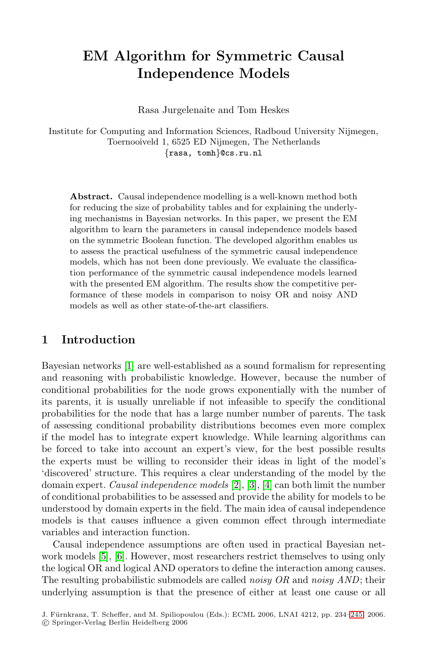# **EM Algorithm for Symmetric Causal Independence Models**

Rasa Jurgelenaite and Tom Heskes

Institute for Computing and Information Sciences, Radboud University Nijmegen, Toernooiveld 1, 6525 ED Nijmegen, The Netherlands {rasa, tomh}@cs.ru.nl

**Abstract.** Causal independence modelling is a well-known method both for reducing the size of probability tables and for explaining the underlying mechanisms in Bayesian networks. In this paper, we present the EM algorithm to learn the parameters in causal independence models based on the symmetric Boolean function. The developed algorithm enables us to assess the practical usefulness of the symmetric causal independence models, which has not been done previously. We evaluate the classification performance of the symmetric causal independence models learned with the presented EM algorithm. The results show the competitive performance of these models in comparison to noisy OR and noisy AND models as well as other state-of-the-art classifiers.

## **1 Introduction**

Bayesian networks [1] are well-established as a sound formalism for representing and reasoning with probabilistic knowledge. However, because the number of conditional probabilities [fo](#page-10-0)r [th](#page-11-0)e [n](#page-11-1)ode grows exponentially with the number of its parents, it is usually unreliable if not infeasible to specify the conditional probabilities for the node that has a large number number of parents. The task of assessing conditional probability distributions becomes even more complex if the model has to integrate expert knowledge. While learning algorithms can be forced to take into account an expert's view, for the best possible results the experts must be willing to reconsider their ideas in light of the model's 'discovered' structure. This requires a clear understanding of the model by the domain expert. Causal independence models [2], [3], [4] can both limit the number of conditional probabilities to be assessed and provide the ability for models to be understood by domain experts in the field. The main idea of causal independence models is that causes influence a given common [effec](#page-10-1)t through intermediate variables and interaction function.

Causal independence assumptions are often used in practical Bayesian network models [5], [6]. However, most researchers restrict themselves to using only the logical OR and logical AND operators to define the interaction among causes. The resulting probabilistic submodels are called *noisy OR* and *noisy AND*; their underlying assumption is that the presence of either at least one cause or all

J. Fürnkranz, T. Scheffer, and M. Spiliopoulou (Eds.): ECML 2006, LNAI 4212, pp. 234–245, 2006. -c Springer-Verlag Berlin Heidelberg 2006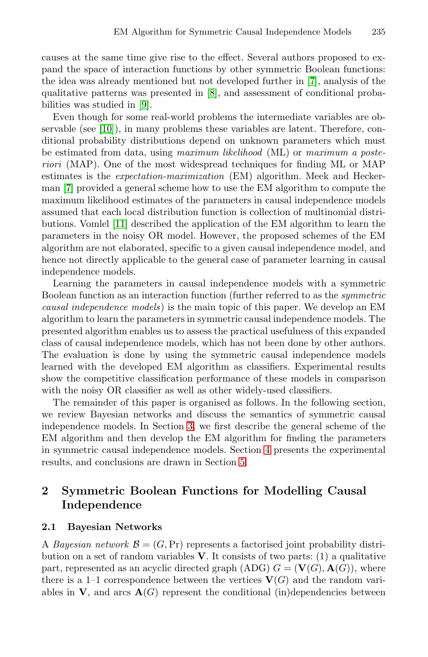causes at the same time give rise to the effect. Several authors proposed to expand the space of interaction functions by other symmetric Boolean functions: the idea was already mentioned but not developed further in [7], analysis of the qualitative patterns was presented in [8], and assessment of conditional probabilities was studied in [9].

Even though for some real-world problems the intermediate variables are ob[s](#page-11-2)ervable (see [10]), in many problems these variables are latent. Therefore, conditional probability distributions depend on unknown parameters which must be estimated from data, using maximum likelihood (ML) or maximum a posteriori (MAP). One of the most widespread techniques for finding ML or MAP estimates is the expectation-maximization (EM) algorithm. Meek and Heckerman [7] provided a general scheme how to use the EM algorithm to compute the maximum likelihood estimates of the parameters in causal independence models assumed that each local distribution function is collection of multinomial distributions. Vomlel [11] described the application of the EM algorithm to learn the parameters in the noisy OR model. However, the proposed schemes of the EM algorithm are not elaborated, specific to a given causal independence model, and hence not directly applicable to the general case of parameter learning in causal independence models.

Learning the parameters in causal independence models with a symmetric Boolean function as an interaction function (further referred to as the symmetric causal independence models) is the main topic of this paper. We develop an EM algorithm to learn the parameters in symmetric causal independence models. The presented algo[rit](#page-4-0)hm enables us to assess the practical usefulness of this expanded class of causal independence models, which has not been done by other authors. The evaluation is done by usi[ng](#page-7-0) the symmetric causal independence models learned with the develop[ed](#page-10-2) EM algorithm as classifiers. Experimental results show the competitive classification performance of these models in comparison with the noisy OR classifier as well as other widely-used classifiers.

The remainder of this paper is organised as follows. In the following section, we review Bayesian networks and discuss the semantics of symmetric causal independence models. In Section 3, we first describe the general scheme of the EM algorithm and then develop the EM algorithm for finding the parameters in symmetric causal independence models. Section 4 presents the experimental results, and conclusions are drawn in Section 5.

## **2 Symmetric Boolean Functions for Modelling Causal Independence**

## **2.1 Bayesian Networks**

A Bayesian network  $\mathcal{B} = (G, Pr)$  represents a factorised joint probability distribution on a set of random variables **V**. It consists of two parts: (1) a qualitative part, represented as an acyclic directed graph (ADG)  $G = (\mathbf{V}(G), \mathbf{A}(G))$ , where there is a 1–1 correspondence between the vertices  $V(G)$  and the random variables in **V**, and arcs  $\mathbf{A}(G)$  represent the conditional (in)dependencies between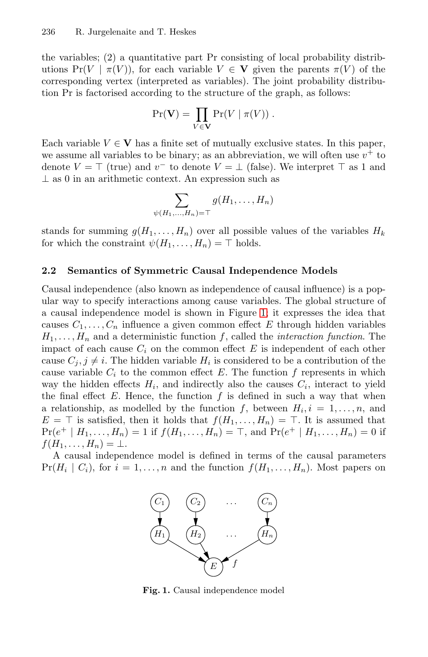the variables; (2) a quantitative part Pr consisting of local probability distributions  $Pr(V | \pi(V))$ , for each variable  $V \in V$  given the parents  $\pi(V)$  of the corresponding vertex (interpreted as variables). The joint probability distribution Pr is factorised according to the structure of the graph, as follows:

$$
\Pr(\mathbf{V}) = \prod_{V \in \mathbf{V}} \Pr(V \mid \pi(V)) \; .
$$

Each variable  $V \in \mathbf{V}$  has a finite set of mutually exclusive states. In this paper, we assume all variables to be binary; as an abbreviation, we will often use  $v^+$  to denote  $V = \top$  (true) and  $v^-$  to denote  $V = \bot$  (false). We interpret  $\top$  as 1 and  $\perp$  as 0 in an arithmetic context. An expression such as

$$
\sum_{\psi(H_1,...,H_n)=\top} g(H_1,\ldots,H_n)
$$

stands for summing  $g(H_1,\ldots,H_n)$  over all possible values of the variables  $H_k$ for which the constraint  $\psi(H_1,\ldots,H_n) = \top$  holds.

#### **2.2 Semantics of Symmetric Causal Independence Models**

Causal independence (also known as independence of causal influence) is a popular way to specify interactions among cause variables. The global structure of a causal independence model is shown in Figure 1; it expresses the idea that causes  $C_1, \ldots, C_n$  influence a given common effect E through hidden variables  $H_1, \ldots, H_n$  and a deterministic function f, called the *interaction function*. The impact of each cause  $C_i$  on the common effect  $E$  is independent of each other cause  $C_i, j \neq i$ . The hidden variable  $H_i$  is considered to be a contribution of the cause variable  $C_i$  to the common effect E. The function f represents in which way the hidden effects  $H_i$ , and indirectly also the causes  $C_i$ , interact to yield the final effect  $E$ . Hence, the function  $f$  is defined in such a way that when a relationship, as modelled by the function f, between  $H_i, i = 1, \ldots, n$ , and  $E = \top$  is satisfied, then it holds that  $f(H_1, \ldots, H_n) = \top$ . It is assumed that  $Pr(e^+ | H_1, ..., H_n) = 1$  if  $f(H_1, ..., H_n) = \top$ , and  $Pr(e^+ | H_1, ..., H_n) = 0$  if  $f(H_1,\ldots,H_n)=\perp.$ 

A causal independence model is defined in terms of the causal parameters  $Pr(H_i | C_i)$ , for  $i = 1, ..., n$  and the function  $f(H_1, ..., H_n)$ . Most papers on



**Fig. 1.** Causal independence model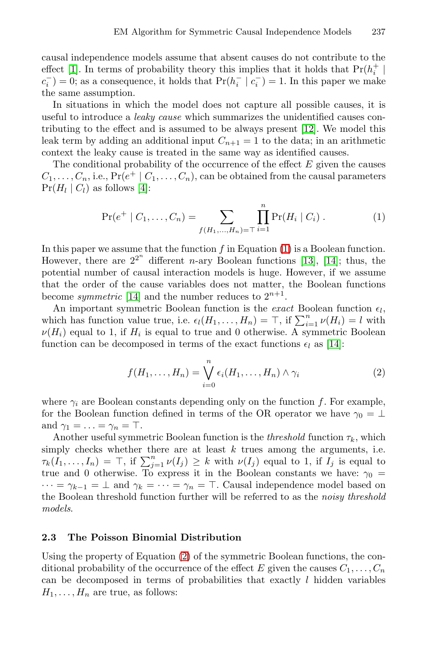causal independence models assume that absent causes do not contribute to the effect [1]. In terms of probability theory this implies that it holds that  $\Pr(h_i^+ \mid$  $c_i^-$  = 0; as a consequence, it holds that  $Pr(h_i^- \mid c_i^-) = 1$ . In this paper we make the [sa](#page-11-1)me assumption.

<span id="page-3-0"></span>In situations in which the model does not capture all possible causes, it is useful to introduce a leaky cause which summarizes the unidentified causes contributing to the effect and is assumed to be always present [12]. We model this leak term by adding an additional input  $C_{n+1} = 1$  to the data; in an arithmetic context the leaky cause is treated in [th](#page-3-0)e same way as identified causes.

The conditional probability of the occ[urre](#page-11-4)n[ce o](#page-11-5)f the effect  $E$  given the causes  $C_1,\ldots,C_n$ , i.e.,  $Pr(e^+ \mid C_1,\ldots,C_n)$ , can be obtained from the causal parameters  $Pr(H_l | C_l)$  as follows [4]:

$$
\Pr(e^+ \mid C_1, \dots, C_n) = \sum_{f(H_1, \dots, H_n) = \top} \prod_{i=1}^n \Pr(H_i \mid C_i).
$$
 (1)

In this paper we assume that the function  $f$  in E[qua](#page-11-5)tion (1) is a Boolean function. However, there are  $2^{2^n}$  different *n*-ary Boolean functions [13], [14]; thus, the potential number of causal interaction models is huge. However, if we assume that the order of the cause variables does not matter, the Boolean functions become symmetric [14] and the number reduces to  $2^{n+1}$ .

<span id="page-3-1"></span>An important symmetric Boolean function is the *exact* Boolean function  $\epsilon_l$ , which has function value true, i.e.  $\epsilon_l(H_1,\ldots,H_n) = \top$ , if  $\sum_{i=1}^n \nu(H_i) = l$  with  $\nu(H_i)$  equal to 1, if  $H_i$  is equal to true and 0 otherwise. A symmetric Boolean function can be decomposed in terms of the exact functions  $\epsilon_l$  as [14]:

$$
f(H_1,\ldots,H_n) = \bigvee_{i=0}^n \epsilon_i(H_1,\ldots,H_n) \wedge \gamma_i \tag{2}
$$

where  $\gamma_i$  are Boolean constants depending only on the function f. For example, for the Boolean function defined in terms of the OR operator we have  $\gamma_0 = \perp$ and  $\gamma_1 = \ldots = \gamma_n = \top$ .

Another useful symmetric Boolean function is the *threshold* function  $\tau_k$ , which simply checks whether there are at least  $k$  trues among the arguments, i.e.  $\tau_k(\tilde{I}_1,\ldots,I_n) = \top$  $\tau_k(\tilde{I}_1,\ldots,I_n) = \top$  $\tau_k(\tilde{I}_1,\ldots,I_n) = \top$ , if  $\sum_{j=1}^n \nu(I_j) \geq k$  with  $\nu(I_j)$  equal to 1, if  $I_j$  is equal to true and 0 otherwise. To express it in the Boolean constants we have:  $\gamma_0$  =  $\cdots = \gamma_{k-1} = \perp$  and  $\gamma_k = \cdots = \gamma_n = \top$ . Causal independence model based on the Boolean threshold function further will be referred to as the noisy threshold models.

### **2.3 The Poisson Binomial Distribution**

Using the property of Equation (2) of the symmetric Boolean functions, the conditional probability of the occurrence of the effect E given the causes  $C_1, \ldots, C_n$ can be decomposed in terms of probabilities that exactly  $l$  hidden variables  $H_1,\ldots,H_n$  are true, as follows: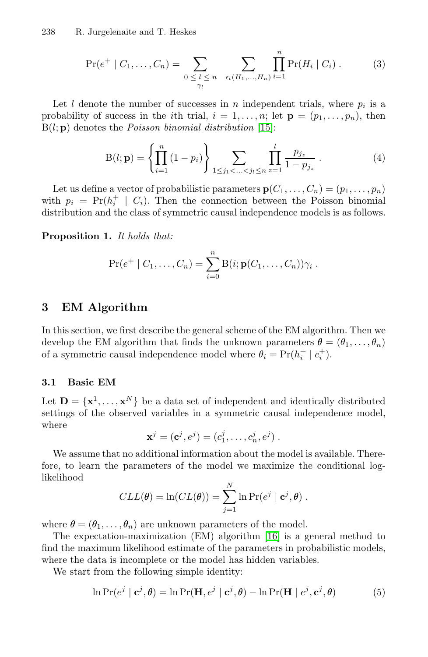$$
\Pr(e^+ \mid C_1, \dots, C_n) = \sum_{0 \leq l \leq n} \sum_{\epsilon_l(H_1, \dots, H_n)} \prod_{i=1}^n \Pr(H_i \mid C_i).
$$
 (3)

<span id="page-4-1"></span>Let l denote the number of successes in n independent trials, where  $p_i$  is a probability of success in the *i*th trial,  $i = 1, \ldots, n$ ; let  $\mathbf{p} = (p_1, \ldots, p_n)$ , then  $B(l; \mathbf{p})$  denotes the *Poisson binomial distribution* [15]:

$$
B(l; \mathbf{p}) = \left\{ \prod_{i=1}^{n} (1 - p_i) \right\} \sum_{1 \le j_1 < \ldots < j_l \le n} \prod_{z=1}^{l} \frac{p_{j_z}}{1 - p_{j_z}}.
$$
 (4)

<span id="page-4-0"></span>Let us define a vector of probabilistic parameters  $\mathbf{p}(C_1,\ldots,C_n)=(p_1,\ldots,p_n)$ with  $p_i = Pr(h_i^+ | C_i)$ . Then the connection between the Poisson binomial distribution and the class of symmetric causal independence models is as follows.

**Proposition 1.** It holds that:

$$
Pr(e^{+} | C_1, ..., C_n) = \sum_{i=0}^{n} B(i; \mathbf{p}(C_1, ..., C_n)) \gamma_i.
$$

## **3 EM Algorithm**

In this section, we first describe the general scheme of the EM algorithm. Then we develop the EM algorithm that finds the unknown parameters  $\theta = (\theta_1, \ldots, \theta_n)$ of a symmetric causal independence model where  $\theta_i = \Pr(h_i^+ | c_i^+)$ .

## **3.1 Basic EM**

Let  $\mathbf{D} = {\mathbf{x}^1, \dots, \mathbf{x}^N}$  be a data set of independent and identically distributed settings of the observed variables in a symmetric causal independence model, where

$$
\mathbf{x}^j = (\mathbf{c}^j, e^j) = (c_1^j, \dots, c_n^j, e^j).
$$

We assume that no additional information about the model is available. Therefore, to learn the parameters of the model we maximize the conditional loglikelihood

$$
CLL(\theta) = \ln(CL(\theta)) = \sum_{j=1}^{N} \ln \Pr(e^j | \mathbf{c}^j, \theta).
$$

where  $\theta = (\theta_1, \ldots, \theta_n)$  are unknown parameters of the model.

The expectation-maximization (EM) algorithm [16] is a general method to find the maximum likelihood estimate of the parameters in probabilistic models, where the data is incomplete or the model has hidden variables.

We start from the following simple identity:

$$
\ln \Pr(e^j \mid \mathbf{c}^j, \theta) = \ln \Pr(\mathbf{H}, e^j \mid \mathbf{c}^j, \theta) - \ln \Pr(\mathbf{H} \mid e^j, \mathbf{c}^j, \theta)
$$
(5)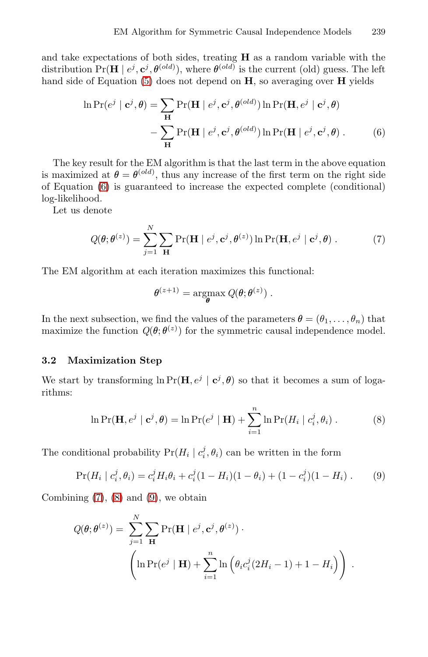and take expectations of both sides, treating **H** as a random variable with the distribution  $Pr(\mathbf{H} \mid e^j, \mathbf{c}^j, \theta^{(old)})$ , where  $\theta^{(old)}$  is the current (old) guess. The left hand side of Equation (5) does not depend on **H**, so averaging over **H** yields

$$
\ln \Pr(e^{j} | \mathbf{c}^{j}, \theta) = \sum_{\mathbf{H}} \Pr(\mathbf{H} | e^{j}, \mathbf{c}^{j}, \theta^{(old)}) \ln \Pr(\mathbf{H}, e^{j} | \mathbf{c}^{j}, \theta)
$$

$$
- \sum_{\mathbf{H}} \Pr(\mathbf{H} | e^{j}, \mathbf{c}^{j}, \theta^{(old)}) \ln \Pr(\mathbf{H} | e^{j}, \mathbf{c}^{j}, \theta). \tag{6}
$$

The key result for the EM algorithm is that the last term in the above equation is maximized at  $\theta = \theta^{(old)}$ , thus any increase of the first term on the right side of Equation (6) is guaranteed to increase the expected complete (conditional) log-likelihood.

Let us denote

$$
Q(\theta; \theta^{(z)}) = \sum_{j=1}^{N} \sum_{\mathbf{H}} \Pr(\mathbf{H} \mid e^{j}, \mathbf{c}^{j}, \theta^{(z)}) \ln \Pr(\mathbf{H}, e^{j} \mid \mathbf{c}^{j}, \theta).
$$
 (7)

The EM algorithm at each iteration maximizes this functional:

$$
\theta^{(z+1)} = \operatorname{argmax}_{\theta} Q(\theta; \theta^{(z)}) .
$$

In the next subsection, we find the values of the parameters  $\theta = (\theta_1, \ldots, \theta_n)$  that maximize the function  $Q(\theta; \theta^{(z)})$  for the symmetric causal independence model.

## **3.2 Maximization Step**

We start by transforming  $\ln \Pr(\mathbf{H}, e^j | \mathbf{c}^j, \theta)$  so that it becomes a sum of logarithms:

$$
\ln \Pr(\mathbf{H}, e^j \mid \mathbf{c}^j, \theta) = \ln \Pr(e^j \mid \mathbf{H}) + \sum_{i=1}^n \ln \Pr(H_i \mid c_i^j, \theta_i).
$$
 (8)

The conditional probability  $Pr(H_i | c_i^j, \theta_i)$  can be written in the form

$$
Pr(H_i \mid c_i^j, \theta_i) = c_i^j H_i \theta_i + c_i^j (1 - H_i)(1 - \theta_i) + (1 - c_i^j)(1 - H_i).
$$
 (9)

Combining  $(7)$ ,  $(8)$  and  $(9)$ , we obtain

$$
Q(\theta; \theta^{(z)}) = \sum_{j=1}^{N} \sum_{\mathbf{H}} \Pr(\mathbf{H} | e^{j}, \mathbf{c}^{j}, \theta^{(z)}) \cdot \left( \ln \Pr(e^{j} | \mathbf{H}) + \sum_{i=1}^{n} \ln \left( \theta_{i} c_{i}^{j} (2H_{i} - 1) + 1 - H_{i} \right) \right).
$$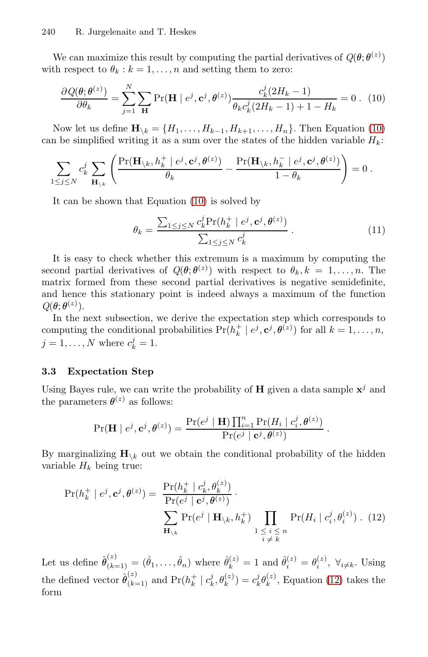We can maximize this result by computing the partial derivatives of  $Q(\theta; \theta^{(z)})$ with respect to  $\theta_k : k = 1, \ldots, n$  and setting them to zero:

$$
\frac{\partial Q(\boldsymbol{\theta}; \boldsymbol{\theta}^{(z)})}{\partial \theta_k} = \sum_{j=1}^N \sum_{\mathbf{H}} \Pr(\mathbf{H} \mid e^j, \mathbf{c}^j, \boldsymbol{\theta}^{(z)}) \frac{c_k^j (2H_k - 1)}{\theta_k c_k^j (2H_k - 1) + 1 - H_k} = 0. \tag{10}
$$

Now let us define  $\mathbf{H}_{\setminus k} = \{H_1, \ldots, H_{k-1}, H_{k+1}, \ldots, H_n\}$ . Then Equation (10) can be simplified writing it as a sum over the states of the hidden variable  $H_k$ :

$$
\sum_{1 \leq j \leq N} c_k^j \sum_{\mathbf{H}_{\setminus k}} \left( \frac{\Pr(\mathbf{H}_{\setminus k}, h_k^+ \mid e^j, \mathbf{c}^j, \theta^{(z)})}{\theta_k} - \frac{\Pr(\mathbf{H}_{\setminus k}, h_k^- \mid e^j, \mathbf{c}^j, \theta^{(z)})}{1 - \theta_k} \right) = 0.
$$

It can be shown that Equation (10) is solved by

$$
\theta_k = \frac{\sum_{1 \le j \le N} c_k^j \Pr(h_k^+ \mid e^j, \mathbf{c}^j, \theta^{(z)})}{\sum_{1 \le j \le N} c_k^j} \,. \tag{11}
$$

It is easy to check whether this extremum is a maximum by computing the second partial derivatives of  $Q(\theta; \theta^{(z)})$  with respect to  $\theta_k, k = 1, \ldots, n$ . The matrix formed from these second partial derivatives is negative semidefinite, and hence this stationary point is indeed always a maximum of the function  $Q(\theta;\theta^{(z)})$ .

In the next subsection, we derive the expectation step which corresponds to computing the conditional probabilities  $Pr(h_k^+ \mid e^j, \mathbf{c}^j, \theta^{(z)})$  for all  $k = 1, \ldots, n$ ,  $j = 1, \ldots, N$  where  $c_k^j = 1$ .

#### **3.3 Expectation Step**

Using Bayes rule, we can write the probability of **H** given a data sample  $\mathbf{x}^{j}$  and the parameters  $\theta^{(z)}$  as follows:

$$
\Pr(\mathbf{H} \mid e^j, \mathbf{c}^j, \pmb{\theta}^{(z)}) = \frac{\Pr(e^j \mid \mathbf{H}) \prod_{i=1}^n \Pr(H_i \mid c_i^j, \pmb{\theta}^{(z)})}{\Pr(e^j \mid \mathbf{c}^j, \pmb{\theta}^{(z)})}.
$$

By marginalizing  $\mathbf{H}_{\setminus k}$  out we obtain the conditional probability of the hidden variable  $H_k$  being true:

$$
\Pr(h_k^+ \mid e^j, \mathbf{c}^j, \theta^{(z)}) = \frac{\Pr(h_k^+ \mid c_k^j, \theta_k^{(z)})}{\Pr(e^j \mid \mathbf{c}^j, \theta^{(z)})} \cdot \sum_{\mathbf{H}_{\setminus k}} \Pr(e^j \mid \mathbf{H}_{\setminus k}, h_k^+) \prod_{\substack{1 \le i \le n \\ i \ne k}} \Pr(H_i \mid c_i^j, \theta_i^{(z)}) \, . \tag{12}
$$

Let us define  $\hat{\theta}_{(k=1)}^{(z)} = (\hat{\theta}_1, \dots, \hat{\theta}_n)$  where  $\hat{\theta}_{k}^{(z)} = 1$  and  $\hat{\theta}_{i}^{(z)} = \theta_{i}^{(z)}, \ \forall_{i \neq k}$ . Using the defined vector  $\hat{\theta}_{(k=1)}^{(z)}$  and  $Pr(h_k^+ | c_k^j, \theta_k^{(z)}) = c_k^j \theta_k^{(z)}$ , Equation (12) takes the form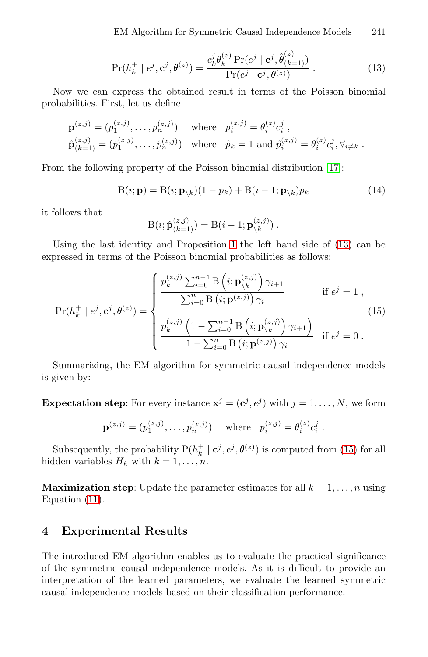EM Algorithm for Symmetric Causal Independence Models 241

$$
\Pr(h_k^+ \mid e^j, \mathbf{c}^j, \boldsymbol{\theta}^{(z)}) = \frac{c_k^j \theta_k^{(z)} \Pr(e^j \mid \mathbf{c}^j, \hat{\boldsymbol{\theta}}_{(k=1)}^{(z)})}{\Pr(e^j \mid \mathbf{c}^j, \boldsymbol{\theta}^{(z)})}.
$$
(13)

<span id="page-7-1"></span>Now we can express the obtained result in terms of the Poisson binomial probabilities. First, let us define

$$
\mathbf{p}^{(z,j)} = (p_1^{(z,j)}, \dots, p_n^{(z,j)}) \quad \text{where} \quad p_i^{(z,j)} = \theta_i^{(z)} c_i^j ,
$$
\n
$$
\hat{\mathbf{p}}_{(k=1)}^{(z,j)} = (\hat{p}_1^{(z,j)}, \dots, \hat{p}_n^{(z,j)}) \quad \text{where} \quad \hat{p}_k = 1 \text{ and } \hat{p}_i^{(z,j)} = \theta_i^{(z)} c_i^j , \forall_{i \neq k} .
$$

From the following property of the Poisson binomial distribution [17]:

$$
B(i; \mathbf{p}) = B(i; \mathbf{p}_{\setminus k})(1 - p_k) + B(i - 1; \mathbf{p}_{\setminus k})p_k
$$
\n(14)

<span id="page-7-2"></span>it follows that

$$
B(i; \hat{\mathbf{p}}_{(k=1)}^{(z,j)}) = B(i-1; \mathbf{p}_{\backslash k}^{(z,j)}) .
$$

Using the last identity and Proposition 1 the left hand side of (13) can be expressed in terms of the Poisson binomial probabilities as follows:

$$
\Pr(h_k^+ \mid e^j, \mathbf{c}^j, \theta^{(z)}) = \begin{cases} p_k^{(z,j)} \sum_{i=0}^{n-1} B(i; \mathbf{p}_{\backslash k}^{(z,j)}) \gamma_{i+1} & \text{if } e^j = 1, \\ \frac{p_k^{(z,j)} \left(1 - \sum_{i=0}^{n-1} B(i; \mathbf{p}_{\backslash k}^{(z,j)}) \gamma_{i+1}\right)}{1 - \sum_{i=0}^{n} B(i; \mathbf{p}_{\backslash k}^{(z,j)}) \gamma_i} & \text{if } e^j = 0. \end{cases}
$$
(15)

Summarizing, the EM algorithm for symmetric [cau](#page-7-2)sal independence models is given by:

**Expectation step:** For every instance  $\mathbf{x}^{j} = (\mathbf{c}^{j}, e^{j})$  with  $j = 1, ..., N$ , we form

$$
\mathbf{p}^{(z,j)} = (p_1^{(z,j)}, \dots, p_n^{(z,j)}) \text{ where } p_i^{(z,j)} = \theta_i^{(z)} c_i^j.
$$

<span id="page-7-0"></span>Subsequently, the probability  $P(h_k^+ \mid \mathbf{c}^j, e^j, \theta^{(z)})$  is computed from (15) for all hidden variables  $H_k$  with  $k = 1, \ldots, n$ .

**Maximization step:** Update the parameter estimates for all  $k = 1, \ldots, n$  using Equation (11).

## **4 Experimental Results**

The introduced EM algorithm enables us to evaluate the practical significance of the symmetric causal independence models. As it is difficult to provide an interpretation of the learned parameters, we evaluate the learned symmetric causal independence models based on their classification performance.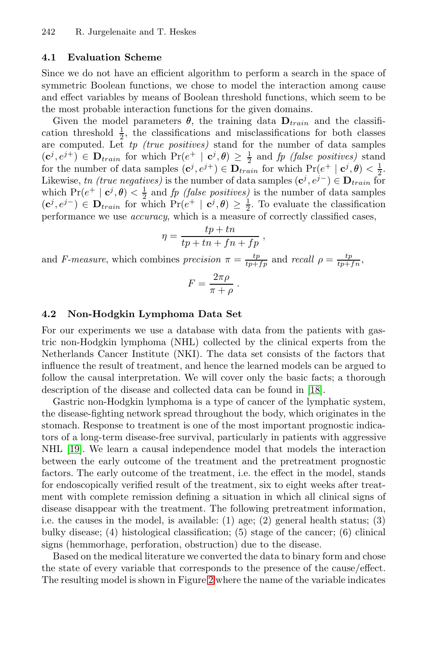#### **4.1 Evaluation Scheme**

Since we do not have an efficient algorithm to perform a search in the space of symmetric Boolean functions, we chose to model the interaction among cause and effect variables by means of Boolean threshold functions, which seem to be the most probable interaction functions for the given domains.

Given the model parameters  $\theta$ , the training data  $\mathbf{D}_{train}$  and the classification threshold  $\frac{1}{2}$ , the classifications and misclassifications for both classes are computed. Let tp (true positives) stand for the number of data samples  $(\mathbf{c}^j, e^{j+}) \in \mathbf{D}_{train}$  for which  $\Pr(e^+ \mid \mathbf{c}^j, \theta) \geq \frac{1}{2}$  and fp (false positives) stand for the number of data samples  $(c^j, e^{j+}) \in \mathbf{D}_{train}$  for which  $Pr(e^+ \mid c^j, \theta) < \frac{1}{2}$ . Likewise, tn (true negatives) is the number of data samples  $(c^j, e^{j-}) \in D_{train}$  for which  $Pr(e^+ | \mathbf{c}^j, \theta) < \frac{1}{2}$  and fp (false positives) is the number of data samples  $(c^j, e^{j-})$  ∈ **D**<sub>train</sub> for which Pr( $e^+$  | **c**<sup>j</sup>,  $\theta$ ) ≥  $\frac{1}{2}$ . To evaluate the classification performance we use accuracy, which is a measure of correctly classified cases,

$$
\eta = \frac{tp+tn}{tp+tn+fn+fp} ,
$$

and *F*-measure, which combines precision  $\pi = \frac{tp}{tp+fp}$  and recall  $\rho = \frac{tp}{tp+fn}$ ,

$$
F = \frac{2\pi\rho}{\pi + \rho} \; .
$$

## **4.2 Non-Hodgkin Lymphoma Data Set**

For our experiments we use a database with data from the patients with gastric non-Hodgkin lymphoma (NHL) collected by the clinical experts from the Netherlands Cancer Institute (NKI). The data set consists of the factors that influence the result of treatment, and hence the learned models can be argued to follow the causal interpretation. We will cover only the basic facts; a thorough description of the disease and collected data can be found in [18].

Gastric non-Hodgkin lymphoma is a type of cancer of the lymphatic system, the disease-fighting network spread throughout the body, which originates in the stomach. Response to treatment is one of the most important prognostic indicators of a long-term disease-free survival, particularly in patients with aggressive NHL [19]. We learn a causal independence model that models the interaction between the early outcome of the treatment and the pretreatment prognostic factors. The early outcome of the treatment, i.e. the effect in the model, stands for endoscopically [ver](#page-9-0)ified result of the treatment, six to eight weeks after treatment with complete remission defining a situation in which all clinical signs of disease disappear with the treatment. The following pretreatment information, i.e. the causes in the model, is available: (1) age; (2) general health status; (3) bulky disease; (4) histological classification; (5) stage of the cancer; (6) clinical signs (hemmorhage, perforation, obstruction) due to the disease.

Based on the medical literature we converted the data to binary form and chose the state of every variable that corresponds to the presence of the cause/effect. The resulting model is shown in Figure 2 where the name of the variable indicates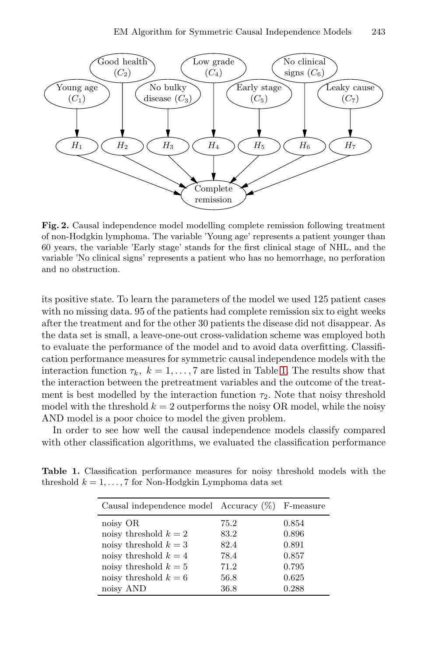<span id="page-9-0"></span>

**Fig. 2.** Causal independence model modelling complete remission following treatment of non-Hodgkin lymphoma. The variable 'Young age' represents a patient younger than 60 years, the variable 'Early stage' stands for the first clinical stage of NHL, and the variable 'No clinical signs' represents a patient who has no hemorrhage, no perforation and no obstruction.

its positive state. To learn the parameters of the model we used 125 patient cases with no missing data. 95 of the patients had complete remission six to eight weeks after the treatment and for the other 30 patients the disease did not disappear. As the data set is small, a leave-one-out cross-validation scheme was employed both to evaluate the performance of the model and to avoid data overfitting. Classification performance measures for symmetric causal independence models with the interaction function  $\tau_k$ ,  $k = 1, \ldots, 7$  are listed in Table 1. The results show that the interaction between the pretreatment variables and the outcome of the treatment is best modelled by the interaction function  $\tau_2$ . Note that noisy threshold model with the threshold  $k = 2$  outperforms the noisy OR model, while the noisy AND model is a poor choice to model the given problem.

In order to see how well the causal independence models classify compared with other classification algorithms, we evaluated the classification performance

| Causal independence model Accuracy $(\%)$ F-measure |      |       |
|-----------------------------------------------------|------|-------|
| noisy OR                                            | 75.2 | 0.854 |
| noisy threshold $k=2$                               | 83.2 | 0.896 |
| noisy threshold $k=3$                               | 82.4 | 0.891 |
| noisy threshold $k = 4$                             | 78.4 | 0.857 |
| noisy threshold $k=5$                               | 71.2 | 0.795 |
| noisy threshold $k=6$                               | 56.8 | 0.625 |
| noisy AND                                           | 36.8 | 0.288 |

**Table 1.** Classification performance measures for noisy threshold models with the threshold  $k = 1, \ldots, 7$  for Non-Hodgkin Lymphoma data set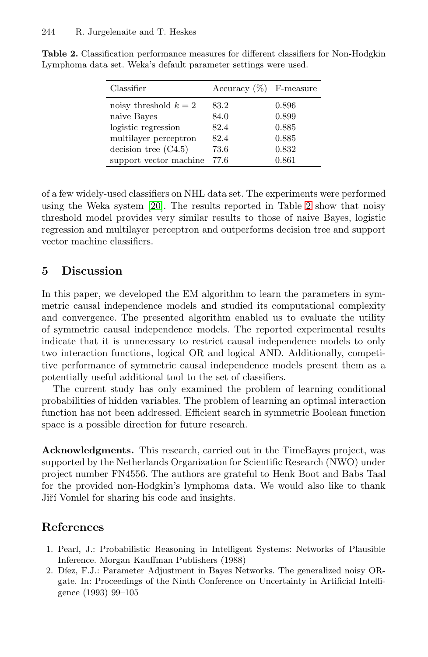<span id="page-10-3"></span>**Table 2.** Classification performance measures for different classifiers for Non-Hodgkin Lymphoma data set. Weka's default parameter settings were used.

| Classifier             | Accuracy $(\%)$ F-measure |       |
|------------------------|---------------------------|-------|
| noisy threshold $k=2$  | 83.2                      | 0.896 |
| naive Bayes            | 84.0                      | 0.899 |
| logistic regression    | 82.4                      | 0.885 |
| multilayer perceptron  | 82.4                      | 0.885 |
| decision tree $(C4.5)$ | 73.6                      | 0.832 |
| support vector machine | 77.6                      | 0.861 |

<span id="page-10-2"></span>of a few widely-used classifiers on NHL data set. The experiments were performed using the Weka system [20]. The results reported in Table 2 show that noisy threshold model provides very similar results to those of naive Bayes, logistic regression and multilayer perceptron and outperforms decision tree and support vector machine classifiers.

## **5 Discussion**

In this paper, we developed the EM algorithm to learn the parameters in symmetric causal independence models and studied its computational complexity and convergence. The presented algorithm enabled us to evaluate the utility of symmetric causal independence models. The reported experimental results indicate that it is unnecessary to restrict causal independence models to only two interaction functions, logical OR and logical AND. Additionally, competitive performance of symmetric causal independence models present them as a potentially useful additional tool to the set of classifiers.

The current study has only examined the problem of learning conditional probabilities of hidden variables. The problem of learning an optimal interaction function has not been addressed. Efficient search in symmetric Boolean function space is a possible direction for future research.

<span id="page-10-1"></span><span id="page-10-0"></span>**Acknowledgments.** This research, carried out in the TimeBayes project, was supported by the Netherlands Organization for Scientific Research (NWO) under project number FN4556. The authors are grateful to Henk Boot and Babs Taal for the provided non-Hodgkin's lymphoma data. We would also like to thank Jiří Vomlel for sharing his code and insights.

## **References**

- 1. Pearl, J.: Probabilistic Reasoning in Intelligent Systems: Networks of Plausible Inference. Morgan Kauffman Publishers (1988)
- 2. Díez, F.J.: Parameter Adjustment in Bayes Networks. The generalized noisy ORgate. In: Proceedings of the Ninth Conference on Uncertainty in Artificial Intelligence (1993) 99–105